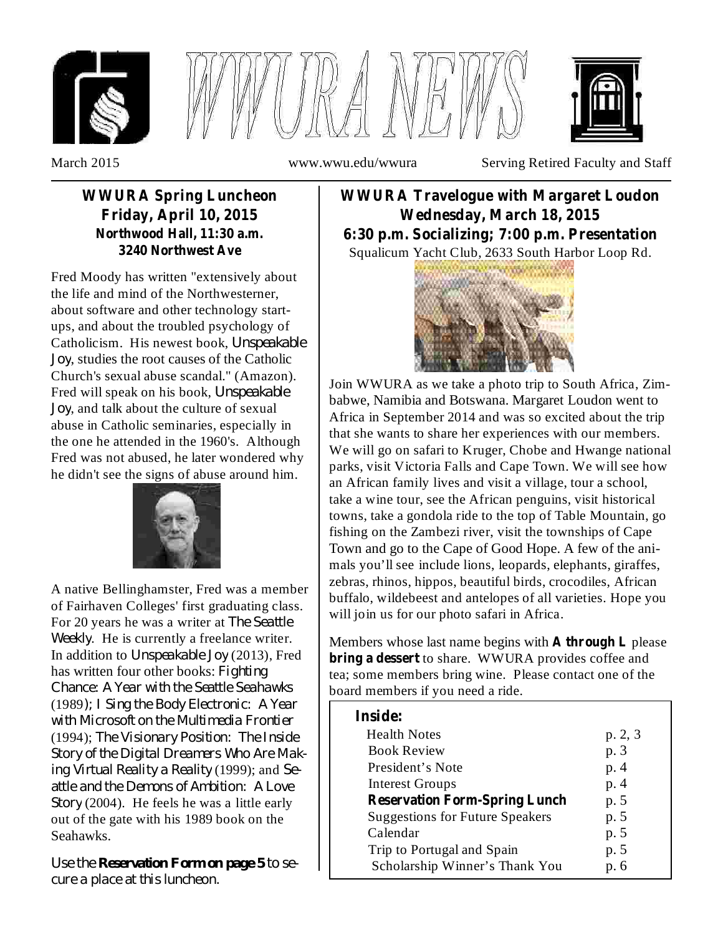





March 2015 www.wwu.edu/wwura Serving Retired Faculty and Staff

### **WWURA Spring Luncheon Friday, April 10, 2015 Northwood Hall, 11:30 a.m. 3240 Northwest Ave**

Fred Moody has written "extensively about the life and mind of the Northwesterner, about software and other technology startups, and about the troubled psychology of Catholicism. His newest book, *Unspeakable* , studies the root causes of the Catholic *Joy* Church's sexual abuse scandal." (Amazon). Fred will speak on his book, *Unspeakable* , and talk about the culture of sexual *Joy* abuse in Catholic seminaries, especially in the one he attended in the 1960's. Although Fred was not abused, he later wondered why he didn't see the signs of abuse around him.



A native Bellinghamster, Fred was a member of Fairhaven Colleges' first graduating class. For 20 years he was a writer at *The Seattle* Weekly. He is currently a freelance writer. In addition to *Unspeakable Joy* (2013), Fred has written four other books: *Fighting* (1989 *); I Sing the Body Electronic: A Year* (1994); *The Visionary Position: The Inside* (1999); and *ing Virtual Reality a Reality Se-*(2004). He feels he was a little early *Story* out of the gate with his 1989 book on the Seahawks. *Chance: A Year with the Seattle Seahawks with Microsoft on the Multimedia Frontier Story of the Digital Dreamers Who Are Makattle and the Demons of Ambition: A Love*

Use the Reservation Form on page 5 to se*cure a place at this luncheon.*

Squalicum Yacht Club, 2633 South Harbor Loop Rd. **WWURA Travelogue with Margaret Loudon Wednesday, March 18, 2015 6:30 p.m. Socializing; 7:00 p.m. Presentation**



Join WWURA as we take a photo trip to South Africa, Zimbabwe, Namibia and Botswana. Margaret Loudon went to Africa in September 2014 and was so excited about the trip that she wants to share her experiences with our members. We will go on safari to Kruger, Chobe and Hwange national parks, visit Victoria Falls and Cape Town. We will see how an African family lives and visit a village, tour a school, take a wine tour, see the African penguins, visit historical towns, take a gondola ride to the top of Table Mountain, go fishing on the Zambezi river, visit the townships of Cape Town and go to the Cape of Good Hope. A few of the animals you'll see include lions, leopards, elephants, giraffes, zebras, rhinos, hippos, beautiful birds, crocodiles, African buffalo, wildebeest and antelopes of all varieties. Hope you will join us for our photo safari in Africa.

Members whose last name begins with A through L please **bring a dessert** to share. WWURA provides coffee and tea; some members bring wine. Please contact one of the board members if you need a ride.

| <b>Inside:</b>                         |         |
|----------------------------------------|---------|
| <b>Health Notes</b>                    | p. 2, 3 |
| <b>Book Review</b>                     | p. 3    |
| President's Note                       | p. 4    |
| <b>Interest Groups</b>                 | p. 4    |
| <b>Reservation Form-Spring Lunch</b>   | p. 5    |
| <b>Suggestions for Future Speakers</b> | p. 5    |
| Calendar                               | p. 5    |
| Trip to Portugal and Spain             | p. 5    |
| Scholarship Winner's Thank You         | p. 6    |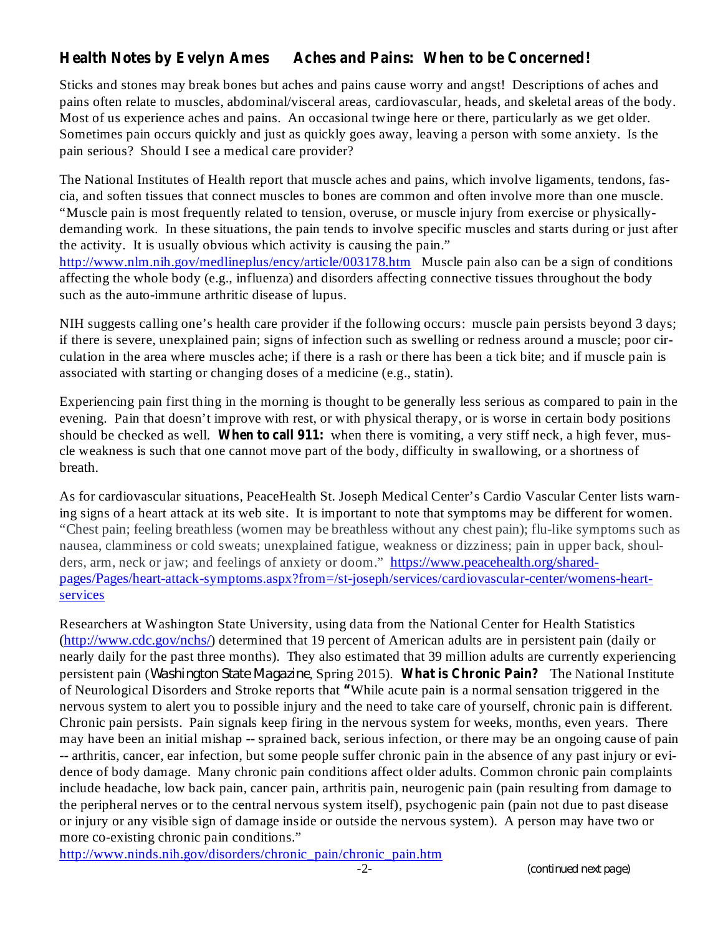## **Health Notes by Evelyn Ames Aches and Pains: When to be Concerned!**

Sticks and stones may break bones but aches and pains cause worry and angst! Descriptions of aches and pains often relate to muscles, abdominal/visceral areas, cardiovascular, heads, and skeletal areas of the body. Most of us experience aches and pains. An occasional twinge here or there, particularly as we get older. Sometimes pain occurs quickly and just as quickly goes away, leaving a person with some anxiety. Is the pain serious? Should I see a medical care provider?

The National Institutes of Health report that muscle aches and pains, which involve ligaments, tendons, fascia, and soften tissues that connect muscles to bones are common and often involve more than one muscle. "Muscle pain is most frequently related to tension, overuse, or muscle injury from exercise or physicallydemanding work. In these situations, the pain tends to involve specific muscles and starts during or just after the activity. It is usually obvious which activity is causing the pain." http://www.nlm.nih.gov/medlineplus/ency/article/003178.htm Muscle pain also can be a sign of conditions affecting the whole body (e.g., influenza) and disorders affecting connective tissues throughout the body such as the auto-immune arthritic disease of lupus.

NIH suggests calling one's health care provider if the following occurs: muscle pain persists beyond 3 days; if there is severe, unexplained pain; signs of infection such as swelling or redness around a muscle; poor circulation in the area where muscles ache; if there is a rash or there has been a tick bite; and if muscle pain is associated with starting or changing doses of a medicine (e.g., statin).

should be checked as well. When to call 911: when there is vomiting, a very stiff neck, a high fever, mus-Experiencing pain first thing in the morning is thought to be generally less serious as compared to pain in the evening. Pain that doesn't improve with rest, or with physical therapy, or is worse in certain body positions cle weakness is such that one cannot move part of the body, difficulty in swallowing, or a shortness of breath.

As for cardiovascular situations, PeaceHealth St. Joseph Medical Center's Cardio Vascular Center lists warning signs of a heart attack at its web site. It is important to note that symptoms may be different for women. "Chest pain; feeling breathless (women may be breathless without any chest pain); flu-like symptoms such as nausea, clamminess or cold sweats; unexplained fatigue, weakness or dizziness; pain in upper back, shoulders, arm, neck or jaw; and feelings of anxiety or doom." https://www.peacehealth.org/sharedpages/Pages/heart-attack-symptoms.aspx?from=/st-joseph/services/cardiovascular-center/womens-heartservices

**whata is Chronical** *Chronic**Washington State Magazine***, Spring 2015). What is Chronic Pain? The National Institute** of Neurological Disorders and Stroke reports that "While acute pain is a normal sensation triggered in the Researchers at Washington State University, using data from the National Center for Health Statistics (http://www.cdc.gov/nchs/) determined that 19 percent of American adults are in persistent pain (daily or nearly daily for the past three months). They also estimated that 39 million adults are currently experiencing nervous system to alert you to possible injury and the need to take care of yourself, chronic pain is different. Chronic pain persists. Pain signals keep firing in the nervous system for weeks, months, even years. There may have been an initial mishap -- sprained back, serious infection, or there may be an ongoing cause of pain -- arthritis, cancer, ear infection, but some people suffer chronic pain in the absence of any past injury or evidence of body damage. Many chronic pain conditions affect older adults. Common chronic pain complaints include headache, low back pain, cancer pain, arthritis pain, neurogenic pain (pain resulting from damage to the peripheral nerves or to the central nervous system itself), psychogenic pain (pain not due to past disease or injury or any visible sign of damage inside or outside the nervous system). A person may have two or more co-existing chronic pain conditions."

http://www.ninds.nih.gov/disorders/chronic\_pain/chronic\_pain.htm

*(continued next page)*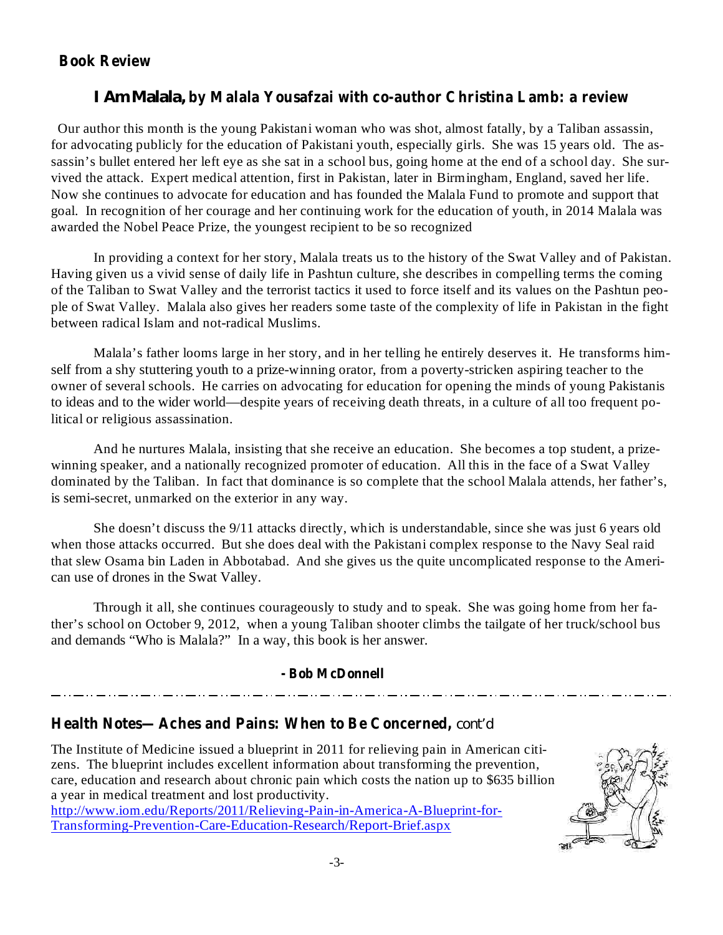### **Book Review**

### **by Malala Yousafzai with co-author Christina Lamb: a review** *I Am Malala,*

Our author this month is the young Pakistani woman who was shot, almost fatally, by a Taliban assassin, for advocating publicly for the education of Pakistani youth, especially girls. She was 15 years old. The assassin's bullet entered her left eye as she sat in a school bus, going home at the end of a school day. She survived the attack. Expert medical attention, first in Pakistan, later in Birmingham, England, saved her life. Now she continues to advocate for education and has founded the Malala Fund to promote and support that goal. In recognition of her courage and her continuing work for the education of youth, in 2014 Malala was awarded the Nobel Peace Prize, the youngest recipient to be so recognized

In providing a context for her story, Malala treats us to the history of the Swat Valley and of Pakistan. Having given us a vivid sense of daily life in Pashtun culture, she describes in compelling terms the coming of the Taliban to Swat Valley and the terrorist tactics it used to force itself and its values on the Pashtun people of Swat Valley. Malala also gives her readers some taste of the complexity of life in Pakistan in the fight between radical Islam and not-radical Muslims.

Malala's father looms large in her story, and in her telling he entirely deserves it. He transforms himself from a shy stuttering youth to a prize-winning orator, from a poverty-stricken aspiring teacher to the owner of several schools. He carries on advocating for education for opening the minds of young Pakistanis to ideas and to the wider world—despite years of receiving death threats, in a culture of all too frequent political or religious assassination.

And he nurtures Malala, insisting that she receive an education. She becomes a top student, a prizewinning speaker, and a nationally recognized promoter of education. All this in the face of a Swat Valley dominated by the Taliban. In fact that dominance is so complete that the school Malala attends, her father's, is semi-secret, unmarked on the exterior in any way.

She doesn't discuss the 9/11 attacks directly, which is understandable, since she was just 6 years old when those attacks occurred. But she does deal with the Pakistani complex response to the Navy Seal raid that slew Osama bin Laden in Abbotabad. And she gives us the quite uncomplicated response to the American use of drones in the Swat Valley.

Through it all, she continues courageously to study and to speak. She was going home from her father's school on October 9, 2012, when a young Taliban shooter climbs the tailgate of her truck/school bus and demands "Who is Malala?" In a way, this book is her answer.

#### **- Bob McDonnell**

### **Health Notes—Aches and Pains: When to Be Concerned,** *cont'd*

The Institute of Medicine issued a blueprint in 2011 for relieving pain in American citizens. The blueprint includes excellent information about transforming the prevention, care, education and research about chronic pain which costs the nation up to \$635 billion a year in medical treatment and lost productivity. http://www.iom.edu/Reports/2011/Relieving-Pain-in-America-A-Blueprint-for-Transforming-Prevention-Care-Education-Research/Report-Brief.aspx

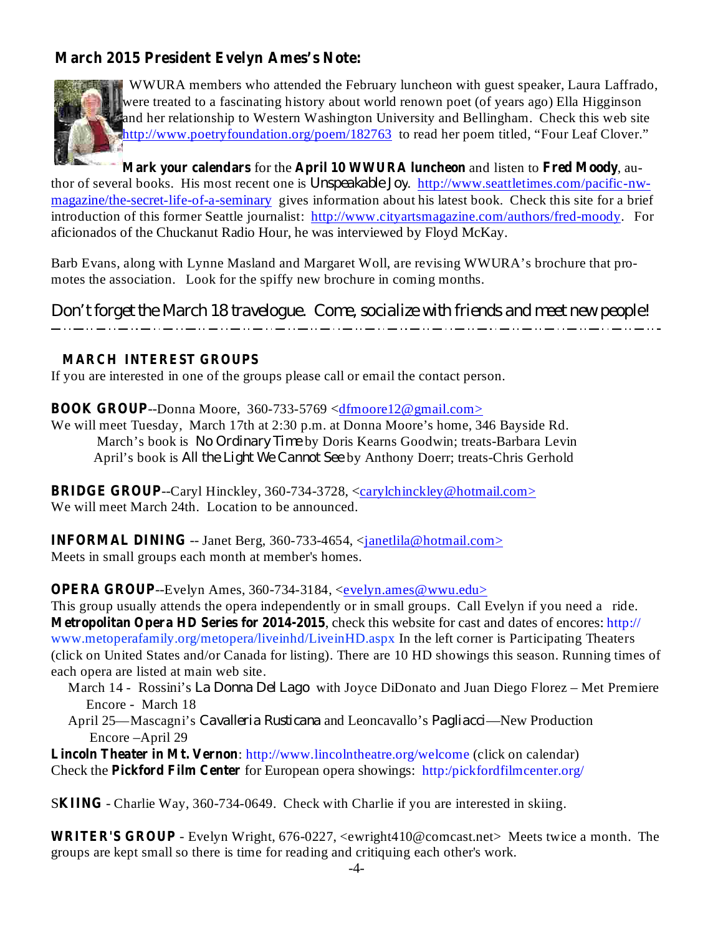## **March 2015 President Evelyn Ames's Note:**



WWURA members who attended the February luncheon with guest speaker, Laura Laffrado, were treated to a fascinating history about world renown poet (of years ago) Ella Higginson and her relationship to Western Washington University and Bellingham. Check this web site http://www.poetryfoundation.org/poem/182763 to read her poem titled, "Four Leaf Clover."

**Mark your calendars** for the April 10 **WWURA** luncheon and listen to Fred Moody, author of several books. His most recent one is *Unspeakable Joy*. http://www.seattletimes.com/pacific-nwmagazine/the-secret-life-of-a-seminary gives information about his latest book. Check this site for a brief introduction of this former Seattle journalist: http://www.cityartsmagazine.com/authors/fred-moody. For aficionados of the Chuckanut Radio Hour, he was interviewed by Floyd McKay.

Barb Evans, along with Lynne Masland and Margaret Woll, are revising WWURA's brochure that promotes the association. Look for the spiffy new brochure in coming months.

*Don't forget the March 18 travelogue. Come, socialize with friends and meet new people!*

#### **MARCH INTEREST GROUPS**

If you are interested in one of the groups please call or email the contact person.

**BOOK GROUP** --Donna Moore, 360-733-5769 <dfmoore12@gmail.com>

We will meet Tuesday, March 17th at 2:30 p.m. at Donna Moore's home, 346 Bayside Rd. March's book is *No Ordinary Time* by Doris Kearns Goodwin; treats-Barbara Levin April's book is *All the Light We Cannot See* by Anthony Doerr; treats-Chris Gerhold

**BRIDGE GROUP**--Caryl Hinckley, 360-734-3728, <carylchinckley@hotmail.com> We will meet March 24th. Location to be announced.

**INFORMAL DINING** -- Janet Berg, 360-733-4654, <janetlila@hotmail.com> Meets in small groups each month at member's homes.

**OPERA GROUP**--Evelyn Ames, 360-734-3184, <*evelyn.ames@wwu.edu>* 

**Metropolitan Opera HD Series for 2014-2015** , check this website for cast and dates of encores: http:// This group usually attends the opera independently or in small groups. Call Evelyn if you need a ride. www.metoperafamily.org/metopera/liveinhd/LiveinHD.aspx In the left corner is Participating Theaters (click on United States and/or Canada for listing). There are 10 HD showings this season. Running times of each opera are listed at main web site.

- March 14 Rossini's *La Donna Del Lago* with Joyce DiDonato and Juan Diego Florez Met Premiere Encore - March 18
- April 25—Mascagni's *Cavalleria Rusticana* and Leoncavallo's *Pagliacci*—New Production Encore –April 29

**Lincoln Theater in Mt. Vernon** : http://www.lincolntheatre.org/welcome (click on calendar) **Check the Pickford Film Center** for European opera showings: http:/pickfordfilmcenter.org/

**SKIING** - Charlie Way, 360-734-0649. Check with Charlie if you are interested in skiing.

**WRITER'S GROUP** - Evelyn Wright, 676-0227, <ewright410@comcast.net> Meets twice a month. The groups are kept small so there is time for reading and critiquing each other's work.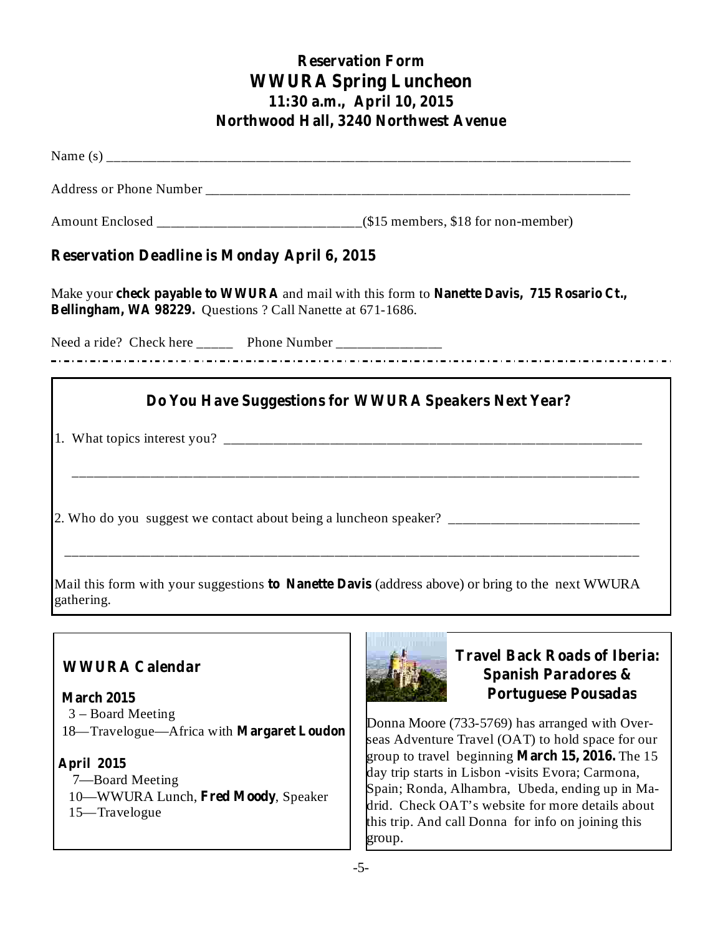# **Reservation Form WWURA Spring Luncheon 11:30 a.m., April 10, 2015 Northwood Hall, 3240 Northwest Avenue**

| <b>Reservation Deadline is Monday April 6, 2015</b>                                                                                                        |
|------------------------------------------------------------------------------------------------------------------------------------------------------------|
| Make your check payable to WWURA and mail with this form to Nanette Davis, 715 Rosario Ct.,<br>Bellingham, WA 98229. Questions ? Call Nanette at 671-1686. |
| Need a ride? Check here ________ Phone Number ___________________________________                                                                          |
| Do You Have Suggestions for WWURA Speakers Next Year?                                                                                                      |
|                                                                                                                                                            |
| Mail this form with your suggestions to Nanette Davis (address above) or bring to the next WWURA                                                           |
|                                                                                                                                                            |

# **WWURA Calendar**

3 – Board Meeting 18—Travelogue—Africa with **Margaret Loudon March 2015**

7—Board Meeting **April 2015**

10-WWURA Lunch, Fred Moody, Speaker 15—Travelogue



## **Travel Back Roads of Iberia: Spanish Paradores & Portuguese Pousadas**

Donna Moore (733-5769) has arranged with Overseas Adventure Travel (OAT) to hold space for our group to travel beginning **March 15, 2016.** The 15 day trip starts in Lisbon -visits Evora; Carmona, Spain; Ronda, Alhambra, Ubeda, ending up in Madrid. Check OAT's website for more details about this trip. And call Donna for info on joining this group.